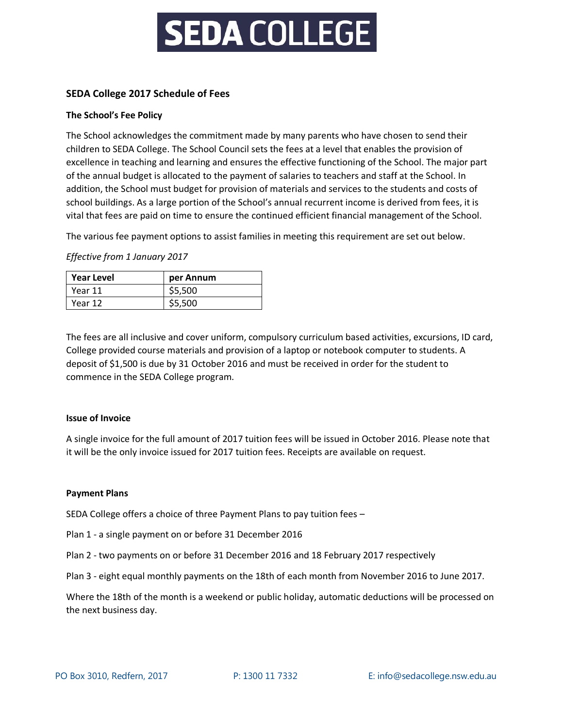

# **SEDA College 2017 Schedule of Fees**

## **The School's Fee Policy**

The School acknowledges the commitment made by many parents who have chosen to send their children to SEDA College. The School Council sets the fees at a level that enables the provision of excellence in teaching and learning and ensures the effective functioning of the School. The major part of the annual budget is allocated to the payment of salaries to teachers and staff at the School. In addition, the School must budget for provision of materials and services to the students and costs of school buildings. As a large portion of the School's annual recurrent income is derived from fees, it is vital that fees are paid on time to ensure the continued efficient financial management of the School.

The various fee payment options to assist families in meeting this requirement are set out below.

|  |  | Effective from 1 January 2017 |  |
|--|--|-------------------------------|--|
|--|--|-------------------------------|--|

| <b>Year Level</b> | per Annum |
|-------------------|-----------|
| Year 11           | \$5,500   |
| Year 12           | \$5,500   |

The fees are all inclusive and cover uniform, compulsory curriculum based activities, excursions, ID card, College provided course materials and provision of a laptop or notebook computer to students. A deposit of \$1,500 is due by 31 October 2016 and must be received in order for the student to commence in the SEDA College program.

#### **Issue of Invoice**

A single invoice for the full amount of 2017 tuition fees will be issued in October 2016. Please note that it will be the only invoice issued for 2017 tuition fees. Receipts are available on request.

#### **Payment Plans**

SEDA College offers a choice of three Payment Plans to pay tuition fees –

Plan 1 - a single payment on or before 31 December 2016

Plan 2 - two payments on or before 31 December 2016 and 18 February 2017 respectively

Plan 3 - eight equal monthly payments on the 18th of each month from November 2016 to June 2017.

Where the 18th of the month is a weekend or public holiday, automatic deductions will be processed on the next business day.